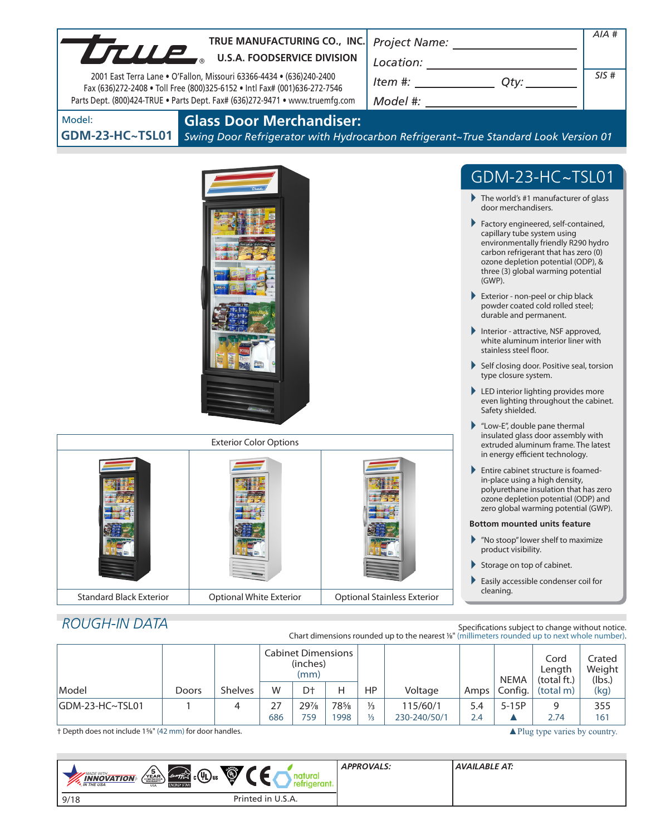| TRUE MANUFACTURING CO., INC.<br>TRUE MANUFACTURING CO., INC                                                                                               |       |                                 |                           |                  |   |                                      |                                                                                                |                                                                                                                        |                                                                                                                                                                                               | $AIA$ #                                                                                                                                                                                                                       |                            |  |
|-----------------------------------------------------------------------------------------------------------------------------------------------------------|-------|---------------------------------|---------------------------|------------------|---|--------------------------------------|------------------------------------------------------------------------------------------------|------------------------------------------------------------------------------------------------------------------------|-----------------------------------------------------------------------------------------------------------------------------------------------------------------------------------------------|-------------------------------------------------------------------------------------------------------------------------------------------------------------------------------------------------------------------------------|----------------------------|--|
| 2001 East Terra Lane . O'Fallon, Missouri 63366-4434 . (636)240-2400                                                                                      |       |                                 |                           |                  |   | $Item #: __________ Qty: __________$ |                                                                                                |                                                                                                                        |                                                                                                                                                                                               | SIS#                                                                                                                                                                                                                          |                            |  |
| Fax (636)272-2408 . Toll Free (800)325-6152 . Intl Fax# (001)636-272-7546<br>Parts Dept. (800)424-TRUE . Parts Dept. Fax# (636)272-9471 . www.truemfg.com |       |                                 |                           |                  |   |                                      |                                                                                                |                                                                                                                        |                                                                                                                                                                                               |                                                                                                                                                                                                                               |                            |  |
| Model:                                                                                                                                                    |       | <b>Glass Door Merchandiser:</b> |                           |                  |   |                                      |                                                                                                |                                                                                                                        |                                                                                                                                                                                               |                                                                                                                                                                                                                               |                            |  |
| <b>GDM-23-HC~TSL01</b>                                                                                                                                    |       |                                 |                           |                  |   |                                      | Swing Door Refrigerator with Hydrocarbon Refrigerant~True Standard Look Version 01             |                                                                                                                        |                                                                                                                                                                                               |                                                                                                                                                                                                                               |                            |  |
|                                                                                                                                                           |       |                                 |                           |                  |   |                                      |                                                                                                |                                                                                                                        |                                                                                                                                                                                               |                                                                                                                                                                                                                               |                            |  |
|                                                                                                                                                           |       |                                 |                           |                  |   |                                      |                                                                                                |                                                                                                                        |                                                                                                                                                                                               | GDM-23-HC~TSL01                                                                                                                                                                                                               |                            |  |
|                                                                                                                                                           |       |                                 |                           |                  |   |                                      |                                                                                                | $\blacktriangleright$ The world's #1 manufacturer of glass<br>door merchandisers.                                      |                                                                                                                                                                                               |                                                                                                                                                                                                                               |                            |  |
|                                                                                                                                                           |       |                                 |                           |                  |   |                                      |                                                                                                |                                                                                                                        | $(GWP)$ .                                                                                                                                                                                     | Factory engineered, self-contained,<br>capillary tube system using<br>environmentally friendly R290 hydro<br>carbon refrigerant that has zero (0)<br>ozone depletion potential (ODP), &<br>three (3) global warming potential |                            |  |
|                                                                                                                                                           |       |                                 |                           |                  |   |                                      |                                                                                                |                                                                                                                        | durable and permanent.                                                                                                                                                                        | Exterior - non-peel or chip black<br>powder coated cold rolled steel;                                                                                                                                                         |                            |  |
|                                                                                                                                                           |       |                                 |                           |                  |   |                                      |                                                                                                | Interior - attractive, NSF approved,<br>white aluminum interior liner with<br>stainless steel floor.                   |                                                                                                                                                                                               |                                                                                                                                                                                                                               |                            |  |
|                                                                                                                                                           |       |                                 |                           |                  |   |                                      |                                                                                                | Self closing door. Positive seal, torsion<br>type closure system.                                                      |                                                                                                                                                                                               |                                                                                                                                                                                                                               |                            |  |
|                                                                                                                                                           |       |                                 |                           |                  |   |                                      |                                                                                                |                                                                                                                        | Safety shielded.                                                                                                                                                                              | LED interior lighting provides more<br>even lighting throughout the cabinet.                                                                                                                                                  |                            |  |
|                                                                                                                                                           |       |                                 |                           |                  |   |                                      |                                                                                                |                                                                                                                        |                                                                                                                                                                                               | $\blacktriangleright$ "Low-E", double pane thermal<br>insulated glass door assembly with                                                                                                                                      |                            |  |
| <b>Exterior Color Options</b>                                                                                                                             |       |                                 |                           |                  |   |                                      |                                                                                                | extruded aluminum frame. The latest<br>in energy efficient technology.                                                 |                                                                                                                                                                                               |                                                                                                                                                                                                                               |                            |  |
|                                                                                                                                                           |       |                                 |                           |                  |   |                                      |                                                                                                |                                                                                                                        | Entire cabinet structure is foamed-<br>in-place using a high density,<br>polyurethane insulation that has zero<br>ozone depletion potential (ODP) and<br>zero global warming potential (GWP). |                                                                                                                                                                                                                               |                            |  |
|                                                                                                                                                           |       |                                 |                           |                  |   |                                      |                                                                                                | <b>Bottom mounted units feature</b><br>$\blacktriangleright$ "No stoop" lower shelf to maximize<br>product visibility. |                                                                                                                                                                                               |                                                                                                                                                                                                                               |                            |  |
|                                                                                                                                                           |       |                                 |                           |                  |   |                                      |                                                                                                |                                                                                                                        |                                                                                                                                                                                               | Storage on top of cabinet.                                                                                                                                                                                                    |                            |  |
| <b>Optional White Exterior</b>                                                                                                                            |       |                                 |                           |                  |   |                                      |                                                                                                |                                                                                                                        | cleaning.                                                                                                                                                                                     | Easily accessible condenser coil for                                                                                                                                                                                          |                            |  |
| <b>Standard Black Exterior</b>                                                                                                                            |       |                                 |                           |                  |   |                                      | <b>Optional Stainless Exterior</b>                                                             |                                                                                                                        |                                                                                                                                                                                               |                                                                                                                                                                                                                               |                            |  |
| <b>ROUGH-IN DATA</b>                                                                                                                                      |       |                                 |                           |                  |   |                                      | Chart dimensions rounded up to the nearest 1/8" (millimeters rounded up to next whole number). |                                                                                                                        |                                                                                                                                                                                               | Specifications subject to change without notice.                                                                                                                                                                              |                            |  |
|                                                                                                                                                           |       |                                 | <b>Cabinet Dimensions</b> | (inches)<br>(mm) |   |                                      |                                                                                                |                                                                                                                        | <b>NEMA</b>                                                                                                                                                                                   | Cord<br>Length<br>(total ft.)                                                                                                                                                                                                 | Crated<br>Weight<br>(lbs.) |  |
| Model                                                                                                                                                     | Doors | Shelves                         | W                         | D†               | Н | HP                                   | Voltage                                                                                        | Amps                                                                                                                   | Config.                                                                                                                                                                                       | (total m)                                                                                                                                                                                                                     | (kg)                       |  |

† Depth does not include 1<sup>5</sup>%" (42 mm) for door handles. ▲Plug type varies by country.

 $230 - 240/50/1$  2.4  $\triangle$ 

| Ö<br>$\sqrt{\frac{5}{2}}$<br>$\left(\ell_{\text{ref}}\right)_{\ell\in\mathbb{Z}}$ $_{\text{c}}(\Psi_{\text{L}})_{\text{us}}$<br><b>MADE WITH</b><br><b>INNOVATION</b><br><b>N</b> THE USA<br><b>ENERGY STAR</b><br><b>USA</b> | <b>APPROVALS:</b> | AVAILABLE AT: |
|-------------------------------------------------------------------------------------------------------------------------------------------------------------------------------------------------------------------------------|-------------------|---------------|
| Printed in U.S.A.<br>9/18                                                                                                                                                                                                     |                   |               |

GDM-23-HC~TSL01 1 4 27 297/8 785/8 1/3 115/60/1 5.4 5-15P 9 355